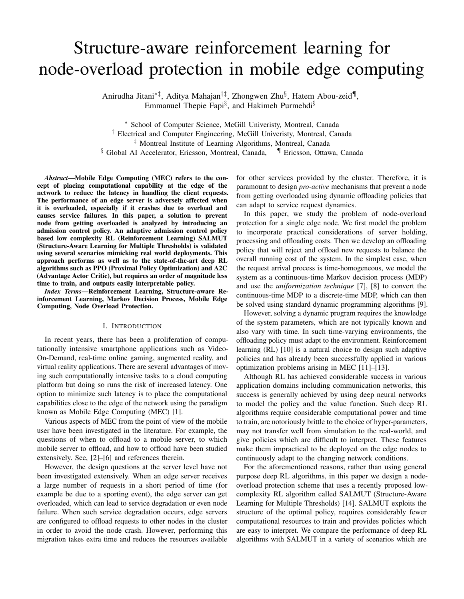# Structure-aware reinforcement learning for node-overload protection in mobile edge computing

Anirudha Jitani∗‡, Aditya Mahajan†‡, Zhongwen Zhu§ , Hatem Abou-zeid¶ , Emmanuel Thepie Fapi<sup>§</sup>, and Hakimeh Purmehdi<sup>§</sup>

<sup>∗</sup> School of Computer Science, McGill Univeristy, Montreal, Canada

† Electrical and Computer Engineering, McGill Univeristy, Montreal, Canada

‡ Montreal Institute of Learning Algorithms, Montreal, Canada

 $§$  Global AI Accelerator, Ericsson, Montreal, Canada,  $\P$  Ericsson, Ottawa, Canada

*Abstract*—Mobile Edge Computing (MEC) refers to the concept of placing computational capability at the edge of the network to reduce the latency in handling the client requests. The performance of an edge server is adversely affected when it is overloaded, especially if it crashes due to overload and causes service failures. In this paper, a solution to prevent node from getting overloaded is analyzed by introducing an admission control policy. An adaptive admission control policy based low complexity RL (Reinforcement Learning) SALMUT (Structure-Aware Learning for Multiple Thresholds) is validated using several scenarios mimicking real world deployments. This approach performs as well as to the state-of-the-art deep RL algorithms such as PPO (Proximal Policy Optimization) and A2C (Advantage Actor Critic), but requires an order of magnitude less time to train, and outputs easily interpretable policy.

*Index Terms*—Reinforcement Learning, Structure-aware Reinforcement Learning, Markov Decision Process, Mobile Edge Computing, Node Overload Protection.

# I. INTRODUCTION

In recent years, there has been a proliferation of computationally intensive smartphone applications such as Video-On-Demand, real-time online gaming, augmented reality, and virtual reality applications. There are several advantages of moving such computationally intensive tasks to a cloud computing platform but doing so runs the risk of increased latency. One option to minimize such latency is to place the computational capabilities close to the edge of the network using the paradigm known as Mobile Edge Computing (MEC) [1].

Various aspects of MEC from the point of view of the mobile user have been investigated in the literature. For example, the questions of when to offload to a mobile server, to which mobile server to offload, and how to offload have been studied extensively. See, [2]–[6] and references therein.

However, the design questions at the server level have not been investigated extensively. When an edge server receives a large number of requests in a short period of time (for example be due to a sporting event), the edge server can get overloaded, which can lead to service degradation or even node failure. When such service degradation occurs, edge servers are configured to offload requests to other nodes in the cluster in order to avoid the node crash. However, performing this migration takes extra time and reduces the resources available

for other services provided by the cluster. Therefore, it is paramount to design *pro-active* mechanisms that prevent a node from getting overloaded using dynamic offloading policies that can adapt to service request dynamics.

In this paper, we study the problem of node-overload protection for a single edge node. We first model the problem to incorporate practical considerations of server holding, processing and offloading costs. Then we develop an offloading policy that will reject and offload new requests to balance the overall running cost of the system. In the simplest case, when the request arrival process is time-homogeneous, we model the system as a continuous-time Markov decision process (MDP) and use the *uniformization technique* [7], [8] to convert the continuous-time MDP to a discrete-time MDP, which can then be solved using standard dynamic programming algorithms [9].

However, solving a dynamic program requires the knowledge of the system parameters, which are not typically known and also vary with time. In such time-varying environments, the offloading policy must adapt to the environment. Reinforcement learning (RL) [10] is a natural choice to design such adaptive policies and has already been successfully applied in various optimization problems arising in MEC [11]–[13].

Although RL has achieved considerable success in various application domains including communication networks, this success is generally achieved by using deep neural networks to model the policy and the value function. Such deep RL algorithms require considerable computational power and time to train, are notoriously brittle to the choice of hyper-parameters, may not transfer well from simulation to the real-world, and give policies which are difficult to interpret. These features make them impractical to be deployed on the edge nodes to continuously adapt to the changing network conditions.

For the aforementioned reasons, rather than using general purpose deep RL algorithms, in this paper we design a nodeoverload protection scheme that uses a recently proposed lowcomplexity RL algorithm called SALMUT (Structure-Aware Learning for Multiple Thresholds) [14]. SALMUT exploits the structure of the optimal policy, requires considerably fewer computational resources to train and provides policies which are easy to interpret. We compare the performance of deep RL algorithms with SALMUT in a variety of scenarios which are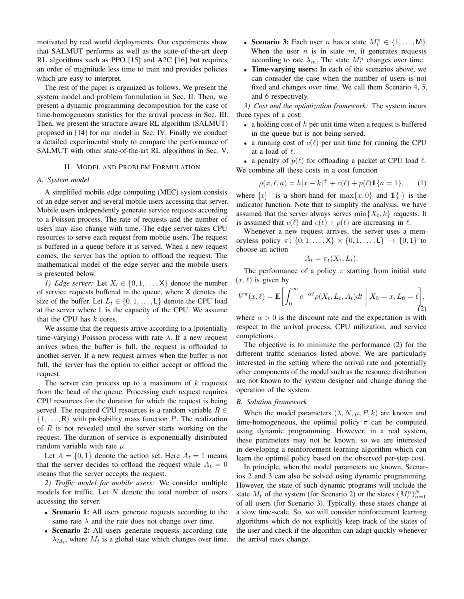motivated by real world deployments. Our experiments show that SALMUT performs as well as the state-of-the-art deep RL algorithms such as PPO [15] and A2C [16] but requires an order of magnitude less time to train and provides policies which are easy to interpret.

The rest of the paper is organized as follows. We present the system model and problem formulation in Sec. II. Then, we present a dynamic programming decomposition for the case of time-homogeneous statistics for the arrival process in Sec. III. Then, we present the structure aware RL algorithm (SALMUT) proposed in [14] for our model in Sec. IV. Finally we conduct a detailed experimental study to compare the performance of SALMUT with other state-of-the-art RL algorithms in Sec. V.

#### II. MODEL AND PROBLEM FORMULATION

## *A. System model*

A simplified mobile edge computing (MEC) system consists of an edge server and several mobile users accessing that server. Mobile users independently generate service requests according to a Poisson process. The rate of requests and the number of users may also change with time. The edge server takes CPU resources to serve each request from mobile users. The request is buffered in a queue before it is served. When a new request comes, the server has the option to offload the request. The mathematical model of the edge server and the mobile users is presented below.

*1) Edge server:* Let  $X_t \in \{0, 1, \ldots, X\}$  denote the number of service requests buffered in the queue, where X denotes the size of the buffer. Let  $L_t \in \{0, 1, \ldots, L\}$  denote the CPU load at the server where L is the capacity of the CPU. We assume that the CPU has  $k$  cores.

We assume that the requests arrive according to a (potentially time-varying) Poisson process with rate  $\lambda$ . If a new request arrives when the buffer is full, the request is offloaded to another server. If a new request arrives when the buffer is not full, the server has the option to either accept or offload the request.

The server can process up to a maximum of  $k$  requests from the head of the queue. Processing each request requires CPU resources for the duration for which the request is being served. The required CPU resources is a random variable  $R \in$  $\{1, \ldots, R\}$  with probability mass function P. The realization of  $R$  is not revealed until the server starts working on the request. The duration of service is exponentially distributed random variable with rate  $\mu$ .

Let  $A = \{0, 1\}$  denote the action set. Here  $A_t = 1$  means that the server decides to offload the request while  $A_t = 0$ means that the server accepts the request.

*2) Traffic model for mobile users:* We consider multiple models for traffic. Let  $N$  denote the total number of users accessing the server.

- Scenario 1: All users generate requests according to the same rate  $\lambda$  and the rate does not change over time.
- Scenario 2: All users generate requests according rate  $\lambda_{M_t}$ , where  $M_t$  is a global state which changes over time.
- Scenario 3: Each user *n* has a state  $M_t^n \in \{1, ..., M\}$ . When the user  $n$  is in state  $m$ , it generates requests according to rate  $\lambda_m$ . The state  $M_t^n$  changes over time.
- Time-varying users: In each of the scenarios above, we can consider the case when the number of users is not fixed and changes over time. We call them Scenario 4, 5, and 6 respectively.

*3) Cost and the optimization framework:* The system incurs three types of a cost:

- a holding cost of  $h$  per unit time when a request is buffered in the queue but is not being served.
- a running cost of  $c(\ell)$  per unit time for running the CPU at a load of  $\ell$ .

• a penalty of  $p(\ell)$  for offloading a packet at CPU load  $\ell$ . We combine all these costs in a cost function

$$
\rho(x,\ell,a) = h[x-k]^+ + c(\ell) + p(\ell)1\{a=1\},\qquad(1)
$$

where  $[x]^{+}$  is a short-hand for  $\max\{x, 0\}$  and  $\mathbb{1}\{\cdot\}$  is the indicator function. Note that to simplify the analysis, we have assumed that the server always serves  $\min\{X_t, k\}$  requests. It is assumed that  $c(\ell)$  and  $c(\ell) + p(\ell)$  are increasing in  $\ell$ .

Whenever a new request arrives, the server uses a memoryless policy  $\pi$ :  $\{0, 1, ..., X\} \times \{0, 1, ..., L\} \rightarrow \{0, 1\}$  to choose an action

$$
A_t = \pi_t(X_t, L_t).
$$

The performance of a policy  $\pi$  starting from initial state  $(x, \ell)$  is given by

$$
V^{\pi}(x,\ell) = \mathbb{E}\bigg[\int_0^{\infty} e^{-\alpha t} \rho(X_t, L_t, A_t) dt \mid X_0 = x, L_0 = \ell\bigg],\tag{2}
$$

where  $\alpha > 0$  is the discount rate and the expectation is with respect to the arrival process, CPU utilization, and service completions.

The objective is to minimize the performance (2) for the different traffic scenarios listed above. We are particularly interested in the setting where the arrival rate and potentially other components of the model such as the resource distribution are not known to the system designer and change during the operation of the system.

#### *B. Solution framework*

When the model parameters  $(\lambda, N, \mu, P, k)$  are known and time-homogeneous, the optimal policy  $\pi$  can be computed using dynamic programming. However, in a real system, these parameters may not be known, so we are interested in developing a reinforcement learning algorithm which can learn the optimal policy based on the observed per-step cost.

In principle, when the model parameters are known, Scenarios 2 and 3 can also be solved using dynamic programming. However, the state of such dynamic programs will include the state  $M_t$  of the system (for Scenario 2) or the states  $(M_t^n)_{n=1}^N$ of all users (for Scenario 3). Typically, these states change at a slow time-scale. So, we will consider reinforcement learning algorithms which do not explicitly keep track of the states of the user and check if the algorithm can adapt quickly whenever the arrival rates change.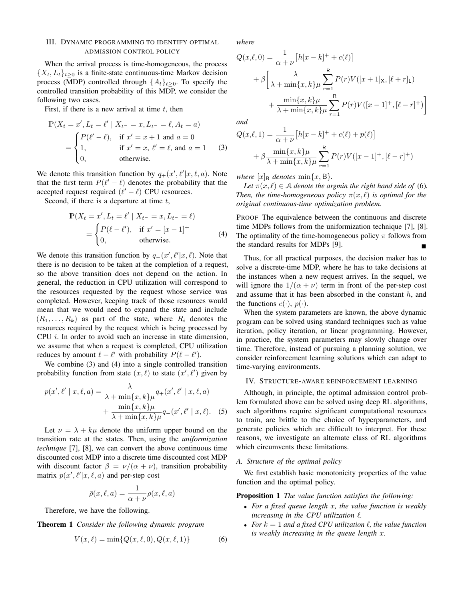## III. DYNAMIC PROGRAMMING TO IDENTIFY OPTIMAL ADMISSION CONTROL POLICY

When the arrival process is time-homogeneous, the process  $\{X_t, L_t\}_{t>0}$  is a finite-state continuous-time Markov decision process (MDP) controlled through  $\{A_t\}_{t>0}$ . To specify the controlled transition probability of this MDP, we consider the following two cases.

First, if there is a new arrival at time  $t$ , then

$$
\mathbb{P}(X_t = x', L_t = \ell' | X_{t^-} = x, L_{t^-} = \ell, A_t = a)
$$
  
= 
$$
\begin{cases} P(\ell' - \ell), & \text{if } x' = x + 1 \text{ and } a = 0\\ 1, & \text{if } x' = x, \ell' = \ell, \text{ and } a = 1\\ 0, & \text{otherwise.} \end{cases}
$$
 (3)

We denote this transition function by  $q_+(x', \ell'|x, \ell, a)$ . Note that the first term  $P(\ell' - \ell)$  denotes the probability that the accepted request required  $(\ell' - \ell)$  CPU resources.

Second, if there is a departure at time  $t$ ,

$$
\mathbb{P}(X_t = x', L_t = \ell' \mid X_{t^-} = x, L_{t^-} = \ell) \n= \begin{cases} P(\ell - \ell'), & \text{if } x' = [x - 1]^+ \\ 0, & \text{otherwise.} \end{cases} (4)
$$

We denote this transition function by  $q_-(x', \ell'|x, \ell)$ . Note that there is no decision to be taken at the completion of a request, so the above transition does not depend on the action. In general, the reduction in CPU utilization will correspond to the resources requested by the request whose service was completed. However, keeping track of those resources would mean that we would need to expand the state and include  $(R_1, \ldots, R_k)$  as part of the state, where  $R_i$  denotes the resources required by the request which is being processed by CPU i. In order to avoid such an increase in state dimension, we assume that when a request is completed, CPU utilization reduces by amount  $\ell - \ell'$  with probability  $P(\ell - \ell')$ .

We combine (3) and (4) into a single controlled transition probability function from state  $(x, \ell)$  to state  $(x', \ell')$  given by

$$
p(x', \ell' \mid x, \ell, a) = \frac{\lambda}{\lambda + \min\{x, k\} \mu} q_+(x', \ell' \mid x, \ell, a) + \frac{\min\{x, k\} \mu}{\lambda + \min\{x, k\} \mu} q_-(x', \ell' \mid x, \ell). \tag{5}
$$

Let  $\nu = \lambda + k\mu$  denote the uniform upper bound on the transition rate at the states. Then, using the *uniformization technique* [7], [8], we can convert the above continuous time discounted cost MDP into a discrete time discounted cost MDP with discount factor  $\beta = \nu/(\alpha + \nu)$ , transition probability matrix  $p(x', \ell'|x, \ell, a)$  and per-step cost

$$
\bar{\rho}(x,\ell,a) = \frac{1}{\alpha + \nu} \rho(x,\ell,a)
$$

Therefore, we have the following.

Theorem 1 *Consider the following dynamic program*

$$
V(x,\ell) = \min\{Q(x,\ell,0), Q(x,\ell,1)\}\tag{6}
$$

*where*

$$
Q(x,\ell,0) = \frac{1}{\alpha + \nu} \left[ h[x-k]^+ + c(\ell) \right]
$$
  
+  $\beta \left[ \frac{\lambda}{\lambda + \min\{x,k\} \mu} \sum_{r=1}^R P(r)V([x+1]_X, [\ell+r]_L) + \frac{\min\{x,k\} \mu}{\lambda + \min\{x,k\} \mu} \sum_{r=1}^R P(r)V([x-1]^+, [\ell-r]^+) \right]$ 

*and*

$$
Q(x,\ell,1) = \frac{1}{\alpha + \nu} \left[ h[x-k]^+ + c(\ell) + p(\ell) \right]
$$

$$
+ \beta \frac{\min\{x,k\}\mu}{\lambda + \min\{x,k\}\mu} \sum_{r=1}^R P(r)V([x-1]^+, [\ell-r]^+)
$$

*where*  $[x]_B$  *denotes* min $\{x, B\}$ *.* 

*Let*  $\pi(x, \ell) \in A$  *denote the argmin the right hand side of* (6). *Then, the time-homogeneous policy*  $\pi(x, \ell)$  *is optimal for the original continuous-time optimization problem.*

PROOF The equivalence between the continuous and discrete time MDPs follows from the uniformization technique [7], [8]. The optimality of the time-homogeneous policy  $\pi$  follows from the standard results for MDPs [9].

Thus, for all practical purposes, the decision maker has to solve a discrete-time MDP, where he has to take decisions at the instances when a new request arrives. In the sequel, we will ignore the  $1/(\alpha + \nu)$  term in front of the per-step cost and assume that it has been absorbed in the constant  $h$ , and the functions  $c(\cdot)$ ,  $p(\cdot)$ .

When the system parameters are known, the above dynamic program can be solved using standard techniques such as value iteration, policy iteration, or linear programming. However, in practice, the system parameters may slowly change over time. Therefore, instead of pursuing a planning solution, we consider reinforcement learning solutions which can adapt to time-varying environments.

#### IV. STRUCTURE-AWARE REINFORCEMENT LEARNING

Although, in principle, the optimal admission control problem formulated above can be solved using deep RL algorithms, such algorithms require significant computational resources to train, are brittle to the choice of hyperparameters, and generate policies which are difficult to interpret. For these reasons, we investigate an alternate class of RL algorithms which circumvents these limitations.

# *A. Structure of the optimal policy*

We first establish basic monotonicity properties of the value function and the optimal policy.

Proposition 1 *The value function satisfies the following:*

- *For a fixed queue length* x*, the value function is weakly*  $increasing$  *in the CPU utilization*  $\ell$ *.*
- For  $k = 1$  and a fixed CPU utilization  $\ell$ , the value function *is weakly increasing in the queue length* x*.*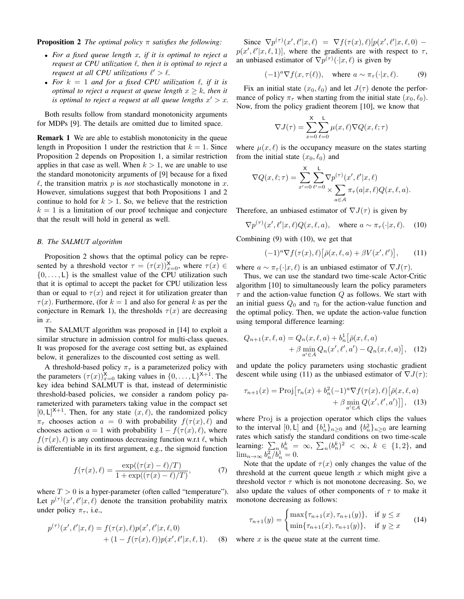Proposition 2 *The optimal policy* π *satisfies the following:*

- *For a fixed queue length* x*, if it is optimal to reject a request at CPU utilization* `*, then it is optimal to reject a request at all CPU utilizations*  $\ell' > \ell$ .
- For  $k = 1$  and for a fixed CPU utilization  $\ell$ , if it is *optimal to reject a request at queue length*  $x \geq k$ *, then it is optimal to reject a request at all queue lengths*  $x' > x$ *.*

Both results follow from standard monotonicity arguments for MDPs [9]. The details are omitted due to limited space.

Remark 1 We are able to establish monotonicity in the queue length in Proposition 1 under the restriction that  $k = 1$ . Since Proposition 2 depends on Proposition 1, a similar restriction applies in that case as well. When  $k > 1$ , we are unable to use the standard monotonicity arguments of [9] because for a fixed  $\ell$ , the transition matrix p is *not* stochastically monotone in x. However, simulations suggest that both Propositions 1 and 2 continue to hold for  $k > 1$ . So, we believe that the restriction  $k = 1$  is a limitation of our proof technique and conjecture that the result will hold in general as well.

# *B. The SALMUT algorithm*

Proposition 2 shows that the optimal policy can be represented by a threshold vector  $\tau = (\tau(x))_{x=0}^{\mathsf{X}}$ , where  $\tau(x) \in$  $\{0, \ldots, L\}$  is the smallest value of the CPU utilization such that it is optimal to accept the packet for CPU utilization less than or equal to  $\tau(x)$  and reject it for utilization greater than  $\tau(x)$ . Furthermore, (for  $k = 1$  and also for general k as per the conjecture in Remark 1), the thresholds  $\tau(x)$  are decreasing in x.

The SALMUT algorithm was proposed in [14] to exploit a similar structure in admission control for multi-class queues. It was proposed for the average cost setting but, as explained below, it generalizes to the discounted cost setting as well.

A threshold-based policy  $\pi_{\tau}$  is a parameterized policy with the parameters  $(\tau(x))_{x=0}^{\mathsf{X}}$  taking values in  $\{0,\ldots,L\}^{\mathsf{X}+1}$ . The key idea behind SALMUT is that, instead of deterministic threshold-based policies, we consider a random policy parameterized with parameters taking value in the compact set  $[0, L]^{X+1}$ . Then, for any state  $(x, \ell)$ , the randomized policy  $\pi_{\tau}$  chooses action  $a = 0$  with probability  $f(\tau(x), \ell)$  and chooses action  $a = 1$  with probability  $1 - f(\tau(x), \ell)$ , where  $f(\tau(x), \ell)$  is any continuous decreasing function w.r.t  $\ell$ , which is differentiable in its first argument, e.g., the sigmoid function

$$
f(\tau(x), \ell) = \frac{\exp((\tau(x) - \ell)/T)}{1 + \exp((\tau(x) - \ell)/T)},
$$
 (7)

where  $T > 0$  is a hyper-parameter (often called "temperature"). Let  $p^{(\tau)}(x', \ell'|x, \ell)$  denote the transition probability matrix under policy  $\pi_{\tau}$ , i.e.,

$$
p^{(\tau)}(x',\ell'|x,\ell) = f(\tau(x),\ell)p(x',\ell'|x,\ell,0) + (1 - f(\tau(x),\ell))p(x',\ell'|x,\ell,1).
$$
 (8)

Since  $\nabla p^{(\tau)}(x', \ell'|x, \ell) = \nabla f(\tau(x), \ell)[p(x', \ell'|x, \ell, 0)$  $p(x', \ell'|x, \ell, 1)]$ , where the gradients are with respect to  $\tau$ , an unbiased estimator of  $\nabla p^{(\tau)}(\cdot | x, \ell)$  is given by

$$
(-1)^{a} \nabla f(x, \tau(\ell)), \quad \text{where } a \sim \pi_{\tau}(\cdot | x, \ell). \tag{9}
$$

Fix an initial state  $(x_0, \ell_0)$  and let  $J(\tau)$  denote the performance of policy  $\pi_{\tau}$  when starting from the initial state  $(x_0, \ell_0)$ . Now, from the policy gradient theorem [10], we know that

$$
\nabla J(\tau) = \sum_{x=0}^{X} \sum_{\ell=0}^{L} \mu(x,\ell) \nabla Q(x,\ell;\tau)
$$

where  $\mu(x, \ell)$  is the occupancy measure on the states starting from the initial state  $(x_0, \ell_0)$  and

$$
\nabla Q(x,\ell;\tau) = \sum_{x'=0}^{X} \sum_{\ell'=0}^{L} \nabla p^{(\tau)}(x',\ell'|x,\ell)
$$

$$
\sum_{a \in \mathcal{A}} \pi_{\tau}(a|x,\ell) Q(x,\ell,a).
$$

Therefore, an unbiased estimator of  $\nabla J(\tau)$  is given by

 $\nabla p^{(\tau)}(x', \ell'|x, \ell) Q(x, \ell, a),$  where  $a \sim \pi_{\tau}(\cdot | x, \ell)$ . (10)

Combining (9) with (10), we get that

$$
(-1)^{a}\nabla f(\tau(x),\ell)\big[\bar{\rho}(x,\ell,a)+\beta V(x',\ell')\big],\qquad(11)
$$

where  $a \sim \pi_{\tau}(\cdot | x, \ell)$  is an unbiased estimator of  $\nabla J(\tau)$ .

Thus, we can use the standard two time-scale Actor-Critic algorithm [10] to simultaneously learn the policy parameters  $\tau$  and the action-value function Q as follows. We start with an initial guess  $Q_0$  and  $\tau_0$  for the action-value function and the optimal policy. Then, we update the action-value function using temporal difference learning:

$$
Q_{n+1}(x,\ell,a) = Q_n(x,\ell,a) + b_n^1 [\bar{\rho}(x,\ell,a) + \beta \min_{a' \in A} Q_n(x',\ell',a') - Q_n(x,\ell,a)], \quad (12)
$$

and update the policy parameters using stochastic gradient descent while using (11) as the unbiased estimator of  $\nabla J(\tau)$ :

$$
\tau_{n+1}(x) = \text{Proj}\big[\tau_n(x) + b_n^2(-1)^a \nabla f(\tau(x), \ell)\big[\bar{\rho}(x, \ell, a) + \beta \min_{a' \in \mathcal{A}} Q(x', \ell', a')\big]\big], \quad (13)
$$

where Proj is a projection operator which clips the values to the interval [0, L] and  $\{b_n^1\}_{n\geq 0}$  and  $\{b_n^2\}_{n\geq 0}$  are learning rates which satisfy the standard conditions on two time-scale learning:  $\sum_n b_n^k = \infty$ ,  $\sum_n (b_n^k)^2 < \infty$ ,  $k \in \{1, 2\}$ , and  $\lim_{n\to\infty} b_n^2/\tilde{b}_n^1 = 0.$ 

Note that the update of  $\tau(x)$  only changes the value of the threshold at the current queue length  $x$  which might give a threshold vector  $\tau$  which is not monotone decreasing. So, we also update the values of other components of  $\tau$  to make it monotone decreasing as follows:

$$
\tau_{n+1}(y) = \begin{cases} \max\{\tau_{n+1}(x), \tau_{n+1}(y)\}, & \text{if } y \le x \\ \min\{\tau_{n+1}(x), \tau_{n+1}(y)\}, & \text{if } y \ge x \end{cases}
$$
(14)

where  $x$  is the queue state at the current time.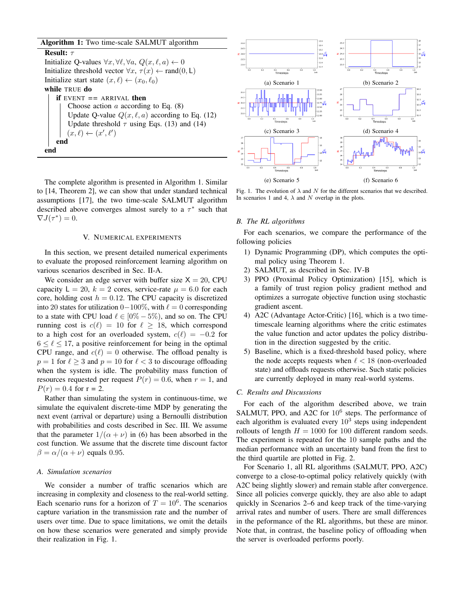| Algorithm 1: Two time-scale SALMUT algorithm |  |  |  |  |  |
|----------------------------------------------|--|--|--|--|--|
|----------------------------------------------|--|--|--|--|--|

Result: τ Initialize Q-values  $\forall x, \forall \ell, \forall a, Q(x, \ell, a) \leftarrow 0$ Initialize threshold vector  $\forall x, \tau(x) \leftarrow \text{rand}(0, \mathsf{L})$ Initialize start state  $(x, \ell) \leftarrow (x_0, \ell_0)$ while TRUE do if EVENT *==* ARRIVAL then Choose action  $a$  according to Eq.  $(8)$ Update Q-value  $Q(x, \ell, a)$  according to Eq. (12) Update threshold  $\tau$  using Eqs. (13) and (14)  $(x, \ell) \leftarrow (x', \ell')$ end end

The complete algorithm is presented in Algorithm 1. Similar to [14, Theorem 2], we can show that under standard technical assumptions [17], the two time-scale SALMUT algorithm described above converges almost surely to a  $\tau^*$  such that  $\nabla J(\tau^*)=0.$ 

## V. NUMERICAL EXPERIMENTS

In this section, we present detailed numerical experiments to evaluate the proposed reinforcement learning algorithm on various scenarios described in Sec. II-A.

We consider an edge server with buffer size  $X = 20$ , CPU capacity  $L = 20$ ,  $k = 2$  cores, service-rate  $\mu = 6.0$  for each core, holding cost  $h = 0.12$ . The CPU capacity is discretized into 20 states for utilization  $0-100\%$ , with  $\ell = 0$  corresponding to a state with CPU load  $\ell \in [0\% - 5\%)$ , and so on. The CPU running cost is  $c(\ell) = 10$  for  $\ell > 18$ , which correspond to a high cost for an overloaded system,  $c(\ell) = -0.2$  for  $6 \le \ell \le 17$ , a positive reinforcement for being in the optimal CPU range, and  $c(\ell) = 0$  otherwise. The offload penalty is  $p = 1$  for  $\ell \geq 3$  and  $p = 10$  for  $\ell < 3$  to discourage offloading when the system is idle. The probability mass function of resources requested per request  $P(r) = 0.6$ , when  $r = 1$ , and  $P(r) = 0.4$  for  $r = 2$ .

Rather than simulating the system in continuous-time, we simulate the equivalent discrete-time MDP by generating the next event (arrival or departure) using a Bernoulli distribution with probabilities and costs described in Sec. III. We assume that the parameter  $1/(\alpha + \nu)$  in (6) has been absorbed in the cost function. We assume that the discrete time discount factor  $\beta = \alpha/(\alpha + \nu)$  equals 0.95.

# *A. Simulation scenarios*

We consider a number of traffic scenarios which are increasing in complexity and closeness to the real-world setting. Each scenario runs for a horizon of  $T = 10^6$ . The scenarios capture variation in the transmission rate and the number of users over time. Due to space limitations, we omit the details on how these scenarios were generated and simply provide their realization in Fig. 1.



Fig. 1. The evolution of  $\lambda$  and  $N$  for the different scenarios that we described. In scenarios 1 and 4,  $\lambda$  and N overlap in the plots.

#### *B. The RL algorithms*

For each scenarios, we compare the performance of the following policies

- 1) Dynamic Programming (DP), which computes the optimal policy using Theorem 1.
- 2) SALMUT, as described in Sec. IV-B
- 3) PPO (Proximal Policy Optimization) [15], which is a family of trust region policy gradient method and optimizes a surrogate objective function using stochastic gradient ascent.
- 4) A2C (Advantage Actor-Critic) [16], which is a two timetimescale learning algorithms where the critic estimates the value function and actor updates the policy distribution in the direction suggested by the critic.
- 5) Baseline, which is a fixed-threshold based policy, where the node accepts requests when  $\ell < 18$  (non-overloaded state) and offloads requests otherwise. Such static policies are currently deployed in many real-world systems.

#### *C. Results and Discussions*

For each of the algorithm described above, we train SALMUT, PPO, and A2C for 10<sup>6</sup> steps. The performance of each algorithm is evaluated every  $10^3$  steps using independent rollouts of length  $H = 1000$  for 100 different random seeds. The experiment is repeated for the 10 sample paths and the median performance with an uncertainty band from the first to the third quartile are plotted in Fig. 2.

For Scenario 1, all RL algorithms (SALMUT, PPO, A2C) converge to a close-to-optimal policy relatively quickly (with A2C being slightly slower) and remain stable after convergence. Since all policies converge quickly, they are also able to adapt quickly in Scenarios 2–6 and keep track of the time-varying arrival rates and number of users. There are small differences in the peformance of the RL algorithms, but these are minor. Note that, in contrast, the baseline policy of offloading when the server is overloaded performs poorly.